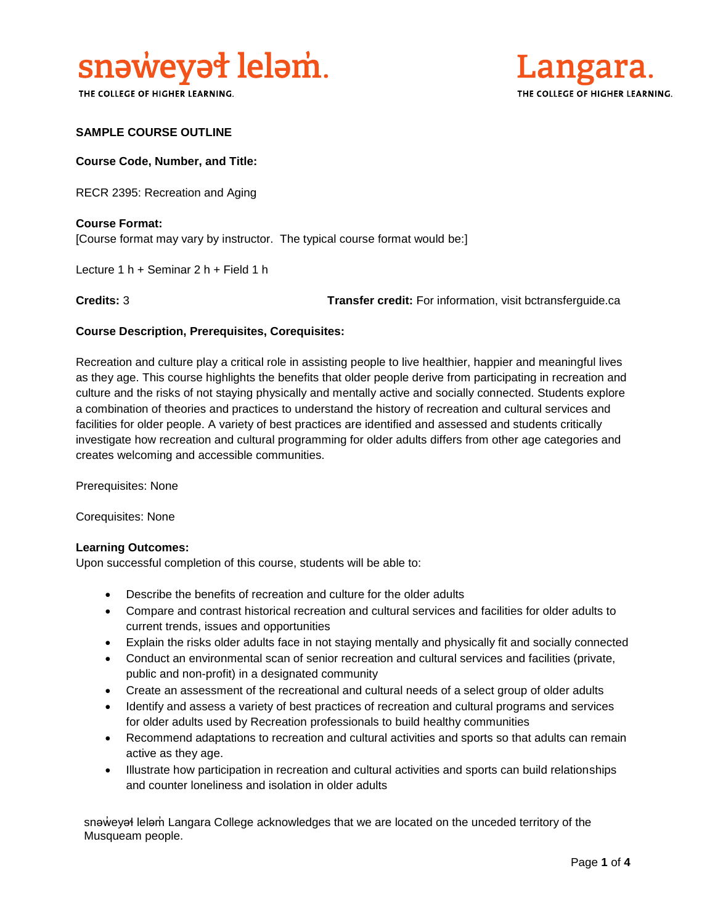

THE COLLEGE OF HIGHER LEARNING.



#### **SAMPLE COURSE OUTLINE**

#### **Course Code, Number, and Title:**

RECR 2395: Recreation and Aging

### **Course Format:** [Course format may vary by instructor. The typical course format would be:]

Lecture 1 h + Seminar 2 h + Field 1 h

**Credits:** 3 **Transfer credit:** For information, visit bctransferguide.ca

#### **Course Description, Prerequisites, Corequisites:**

Recreation and culture play a critical role in assisting people to live healthier, happier and meaningful lives as they age. This course highlights the benefits that older people derive from participating in recreation and culture and the risks of not staying physically and mentally active and socially connected. Students explore a combination of theories and practices to understand the history of recreation and cultural services and facilities for older people. A variety of best practices are identified and assessed and students critically investigate how recreation and cultural programming for older adults differs from other age categories and creates welcoming and accessible communities.

Prerequisites: None

Corequisites: None

#### **Learning Outcomes:**

Upon successful completion of this course, students will be able to:

- Describe the benefits of recreation and culture for the older adults
- Compare and contrast historical recreation and cultural services and facilities for older adults to current trends, issues and opportunities
- Explain the risks older adults face in not staying mentally and physically fit and socially connected
- Conduct an environmental scan of senior recreation and cultural services and facilities (private, public and non-profit) in a designated community
- Create an assessment of the recreational and cultural needs of a select group of older adults
- Identify and assess a variety of best practices of recreation and cultural programs and services for older adults used by Recreation professionals to build healthy communities
- Recommend adaptations to recreation and cultural activities and sports so that adults can remain active as they age.
- Illustrate how participation in recreation and cultural activities and sports can build relationships and counter loneliness and isolation in older adults

snaweyał lelam Langara College acknowledges that we are located on the unceded territory of the Musqueam people.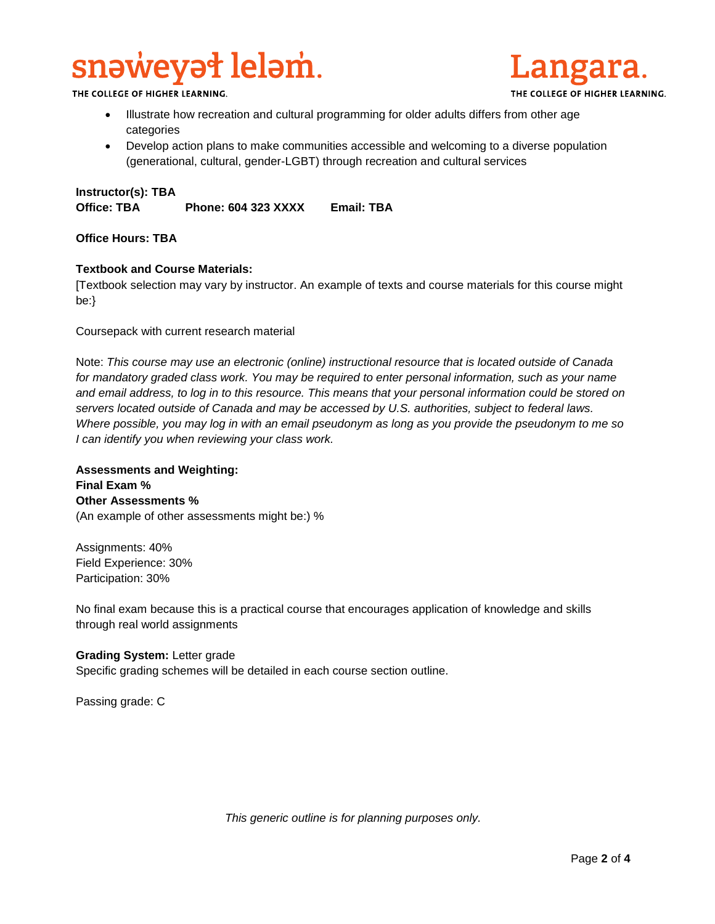# snəweyət leləm.

THE COLLEGE OF HIGHER LEARNING.

- Illustrate how recreation and cultural programming for older adults differs from other age categories
- Develop action plans to make communities accessible and welcoming to a diverse population (generational, cultural, gender-LGBT) through recreation and cultural services

#### **Instructor(s): TBA**

**Office: TBA Phone: 604 323 XXXX Email: TBA**

#### **Office Hours: TBA**

#### **Textbook and Course Materials:**

[Textbook selection may vary by instructor. An example of texts and course materials for this course might be:}

Coursepack with current research material

Note: *This course may use an electronic (online) instructional resource that is located outside of Canada*  for mandatory graded class work. You may be required to enter personal information, such as your name *and email address, to log in to this resource. This means that your personal information could be stored on servers located outside of Canada and may be accessed by U.S. authorities, subject to federal laws. Where possible, you may log in with an email pseudonym as long as you provide the pseudonym to me so I can identify you when reviewing your class work.* 

**Assessments and Weighting: Final Exam % Other Assessments %** (An example of other assessments might be:) %

Assignments: 40% Field Experience: 30% Participation: 30%

No final exam because this is a practical course that encourages application of knowledge and skills through real world assignments

#### **Grading System:** Letter grade

Specific grading schemes will be detailed in each course section outline.

Passing grade: C

*This generic outline is for planning purposes only.*

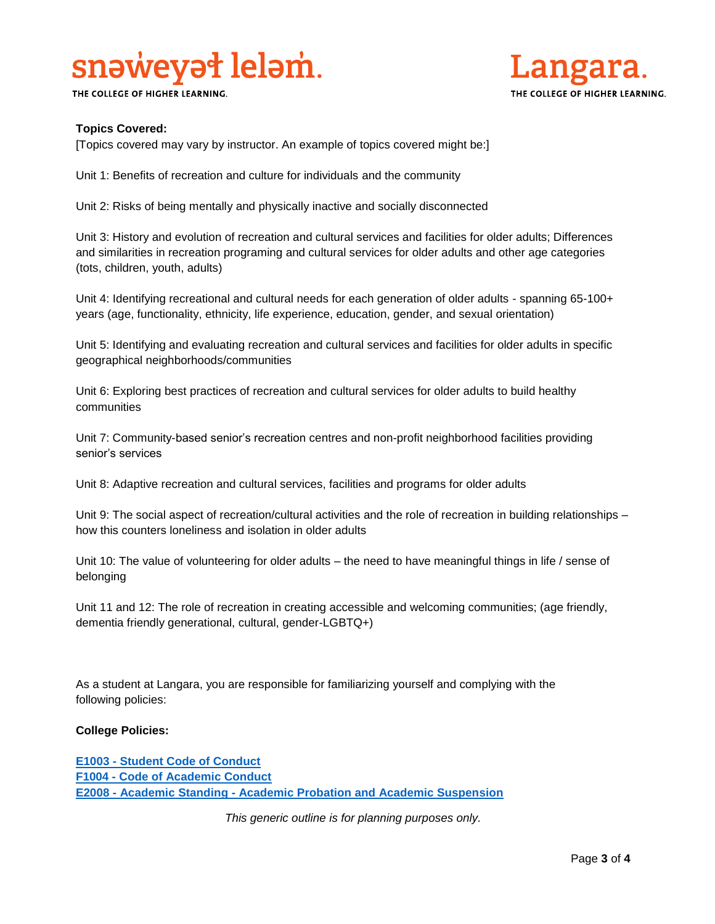# snaweyat lelam.

THE COLLEGE OF HIGHER LEARNING.



### **Topics Covered:**

[Topics covered may vary by instructor. An example of topics covered might be:]

Unit 1: Benefits of recreation and culture for individuals and the community

Unit 2: Risks of being mentally and physically inactive and socially disconnected

Unit 3: History and evolution of recreation and cultural services and facilities for older adults; Differences and similarities in recreation programing and cultural services for older adults and other age categories (tots, children, youth, adults)

Unit 4: Identifying recreational and cultural needs for each generation of older adults - spanning 65-100+ years (age, functionality, ethnicity, life experience, education, gender, and sexual orientation)

Unit 5: Identifying and evaluating recreation and cultural services and facilities for older adults in specific geographical neighborhoods/communities

Unit 6: Exploring best practices of recreation and cultural services for older adults to build healthy communities

Unit 7: Community-based senior's recreation centres and non-profit neighborhood facilities providing senior's services

Unit 8: Adaptive recreation and cultural services, facilities and programs for older adults

Unit 9: The social aspect of recreation/cultural activities and the role of recreation in building relationships – how this counters loneliness and isolation in older adults

Unit 10: The value of volunteering for older adults – the need to have meaningful things in life / sense of belonging

Unit 11 and 12: The role of recreation in creating accessible and welcoming communities; (age friendly, dementia friendly generational, cultural, gender-LGBTQ+)

As a student at Langara, you are responsible for familiarizing yourself and complying with the following policies:

#### **College Policies:**

**E1003 - [Student Code of Conduct](https://langara.ca/about-langara/policies/pdf/E1003.pdf)  F1004 - [Code of Academic Conduct](http://langara.bc.ca/registration-and-records/pdf/F1004.pdf) E2008 - Academic Standing - Academic [Probation and Academic Suspension](file://///EMPLHOME_SERVER/HOME/ACCOUNTS/EMPL/SBOWERS/Committee%20Work/Course%20Outline%20Policy%20Committee/E2008%20-%20Academic%20Standing%20-%20Academic%20Probation%20and%20Academic%20Suspension)**

*This generic outline is for planning purposes only.*